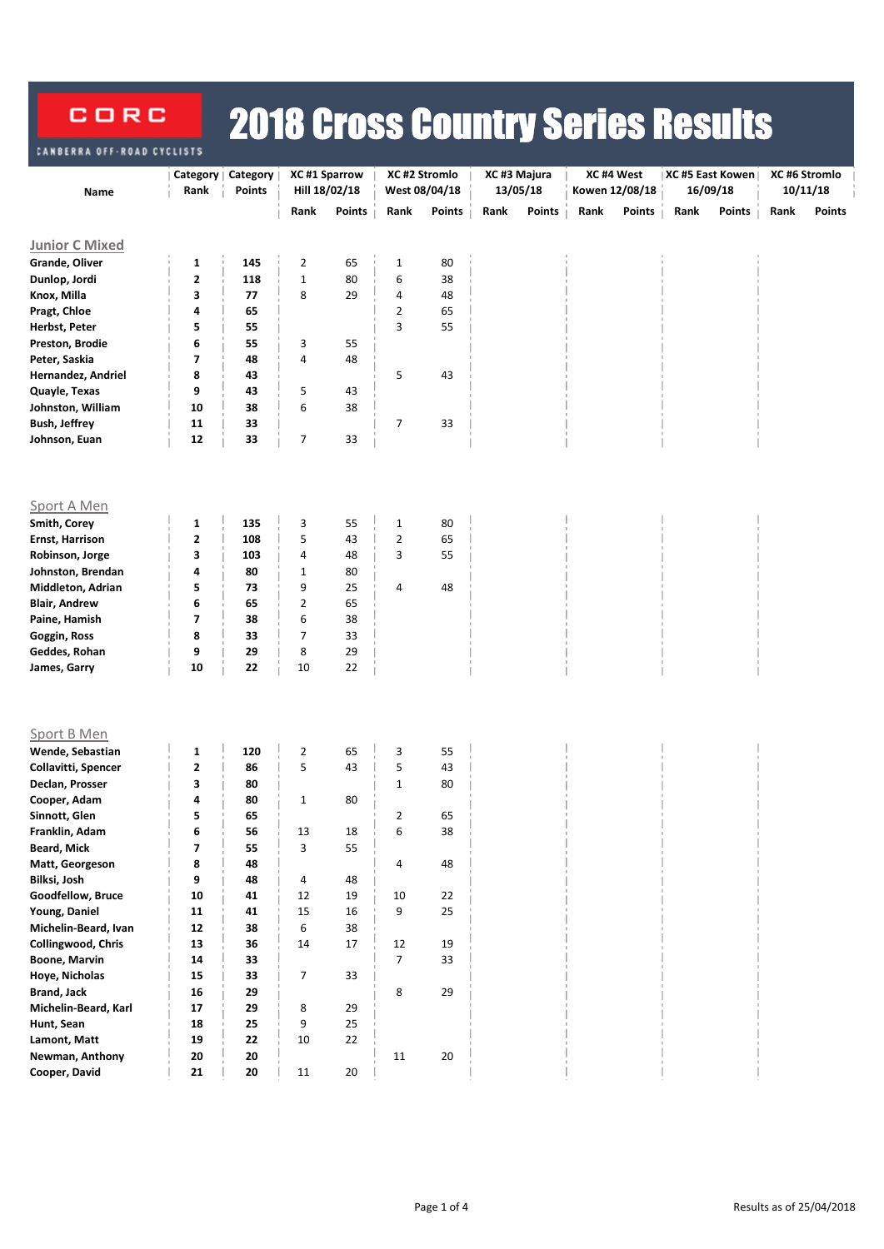## 2018 Cross Country Series Results CORC FRRA OFF-ROA

|                       |                         | Category      | XC #1 Sparrow  |        | XC #2 Stromlo        |               | XC#3 Majura |               |      | XC#4 West      |      | XC #5 East Kowen | XC #6 Stromlo |               |  |
|-----------------------|-------------------------|---------------|----------------|--------|----------------------|---------------|-------------|---------------|------|----------------|------|------------------|---------------|---------------|--|
| Name                  | Category  <br>Rank      | <b>Points</b> | Hill 18/02/18  |        |                      | West 08/04/18 | 13/05/18    |               |      | Kowen 12/08/18 |      | 16/09/18         | 10/11/18      |               |  |
|                       |                         |               |                |        |                      |               |             |               |      |                |      |                  |               |               |  |
|                       |                         |               | Rank           | Points | Rank                 | Points        | Rank        | <b>Points</b> | Rank | <b>Points</b>  | Rank | Points           | Rank          | <b>Points</b> |  |
| <b>Junior C Mixed</b> |                         |               |                |        |                      |               |             |               |      |                |      |                  |               |               |  |
| Grande, Oliver        | 1                       | 145           | $\overline{2}$ | 65     | $\mathbf 1$          | 80            |             |               |      |                |      |                  |               |               |  |
| Dunlop, Jordi         | $\mathbf 2$             | 118           | $\mathbf 1$    | 80     | 6                    | 38            |             |               |      |                |      |                  |               |               |  |
| Knox, Milla           | 3                       | 77            | 8              | 29     | 4                    | 48            |             |               |      |                |      |                  |               |               |  |
| Pragt, Chloe          | 4                       | 65            |                |        | $\overline{2}$       | 65            |             |               |      |                |      |                  |               |               |  |
| Herbst, Peter         | 5                       | 55            |                |        | 3                    | 55            |             |               |      |                |      |                  |               |               |  |
| Preston, Brodie       | 6                       | 55            | 3              | 55     |                      |               |             |               |      |                |      |                  |               |               |  |
| Peter, Saskia         | 7                       | 48            | 4              | 48     |                      |               |             |               |      |                |      |                  |               |               |  |
| Hernandez, Andriel    | 8                       | 43            |                |        | 5                    | 43            |             |               |      |                |      |                  |               |               |  |
| Quayle, Texas         | 9                       | 43            | 5              | 43     |                      |               |             |               |      |                |      |                  |               |               |  |
| Johnston, William     | 10                      | 38            | 6              | 38     |                      |               |             |               |      |                |      |                  |               |               |  |
| <b>Bush, Jeffrey</b>  | 11                      | 33            |                |        | 7                    | 33            |             |               |      |                |      |                  |               |               |  |
| Johnson, Euan         | 12                      | 33            | 7              | 33     |                      |               |             |               |      |                |      |                  |               |               |  |
|                       |                         |               |                |        |                      |               |             |               |      |                |      |                  |               |               |  |
|                       |                         |               |                |        |                      |               |             |               |      |                |      |                  |               |               |  |
|                       |                         |               |                |        |                      |               |             |               |      |                |      |                  |               |               |  |
| Sport A Men           |                         |               |                |        |                      |               |             |               |      |                |      |                  |               |               |  |
| Smith, Corey          | 1                       | 135           | 3              | 55     | $\mathbf 1$          | 80            |             |               |      |                |      |                  |               |               |  |
| Ernst, Harrison       | $\mathbf 2$             | 108           | 5              | 43     | $\overline{2}$       | 65            |             |               |      |                |      |                  |               |               |  |
| Robinson, Jorge       | 3                       | 103           | 4              | 48     | 3                    | 55            |             |               |      |                |      |                  |               |               |  |
| Johnston, Brendan     | 4                       | 80            | $\mathbf{1}$   | 80     |                      |               |             |               |      |                |      |                  |               |               |  |
| Middleton, Adrian     | 5                       | 73            | 9              | 25     | 4                    | 48            |             |               |      |                |      |                  |               |               |  |
| <b>Blair, Andrew</b>  | 6                       | 65            | 2              | 65     |                      |               |             |               |      |                |      |                  |               |               |  |
| Paine, Hamish         | 7                       | 38            | 6              | 38     |                      |               |             |               |      |                |      |                  |               |               |  |
| Goggin, Ross          | 8                       | 33            | $\overline{7}$ | 33     |                      |               |             |               |      |                |      |                  |               |               |  |
| Geddes, Rohan         | 9                       | 29            | 8              | 29     |                      |               |             |               |      |                |      |                  |               |               |  |
| James, Garry          | 10                      | 22            | 10             | 22     |                      |               |             |               |      |                |      |                  |               |               |  |
|                       |                         |               |                |        |                      |               |             |               |      |                |      |                  |               |               |  |
|                       |                         |               |                |        |                      |               |             |               |      |                |      |                  |               |               |  |
| Sport B Men           |                         |               |                |        |                      |               |             |               |      |                |      |                  |               |               |  |
| Wende, Sebastian      | $\mathbf 1$             | 120           | $\overline{2}$ | 65     | 3                    | 55            |             |               |      |                |      |                  |               |               |  |
| Collavitti, Spencer   | $\mathbf 2$             | 86            | 5              | 43     | 5                    | 43            |             |               |      |                |      |                  |               |               |  |
| Declan, Prosser       | 3                       | 80            |                |        | $\mathbf{1}$         | 80            |             |               |      |                |      |                  |               |               |  |
| Cooper, Adam          | 4                       | 80            | $\mathbf{1}$   | 80     |                      |               |             |               |      |                |      |                  |               |               |  |
| Sinnott, Glen         | 5                       | 65            |                |        | $\overline{2}$       | 65            |             |               |      |                |      |                  |               |               |  |
| Franklin, Adam        | 6                       | 56            | 13             | 18     | 6                    | 38            |             |               |      |                |      |                  |               |               |  |
| <b>Beard, Mick</b>    | $\overline{\mathbf{z}}$ | 55            | 3              | 55     |                      |               |             |               |      |                |      |                  |               |               |  |
| Matt, Georgeson       | 8                       | 48            |                |        | 4                    | 48            |             |               |      |                |      |                  |               |               |  |
| Bilksi, Josh          | 9                       | 48            | 4              | 48     |                      |               |             |               |      |                |      |                  |               |               |  |
| Goodfellow, Bruce     | 10                      | 41            | 12             | 19     | 10                   | 22            |             |               |      |                |      |                  |               |               |  |
| Young, Daniel         | 11                      | 41            | 15             | 16     | 9                    | 25            |             |               |      |                |      |                  |               |               |  |
| Michelin-Beard, Ivan  | 12                      | 38            | 6              | 38     |                      |               |             |               |      |                |      |                  |               |               |  |
| Collingwood, Chris    |                         |               |                |        |                      |               |             |               |      |                |      |                  |               |               |  |
|                       | 13<br>14                | 36            | 14             | 17     | 12<br>$\overline{7}$ | 19<br>33      |             |               |      |                |      |                  |               |               |  |
| <b>Boone, Marvin</b>  |                         | 33            |                |        |                      |               |             |               |      |                |      |                  |               |               |  |
| Hoye, Nicholas        | 15                      | 33            | $\overline{7}$ | 33     |                      |               |             |               |      |                |      |                  |               |               |  |
| <b>Brand, Jack</b>    | 16                      | 29            |                |        | 8                    | 29            |             |               |      |                |      |                  |               |               |  |
| Michelin-Beard, Karl  | 17                      | 29            | 8              | 29     |                      |               |             |               |      |                |      |                  |               |               |  |
| Hunt, Sean            | 18                      | 25            | 9              | 25     |                      |               |             |               |      |                |      |                  |               |               |  |
| Lamont, Matt          | 19                      | 22            | 10             | 22     |                      |               |             |               |      |                |      |                  |               |               |  |
| Newman, Anthony       | 20                      | 20            |                |        | 11                   | 20            |             |               |      |                |      |                  |               |               |  |
| Cooper, David         | 21                      | ${\bf 20}$    | 11             | 20     |                      |               |             |               |      |                |      |                  |               |               |  |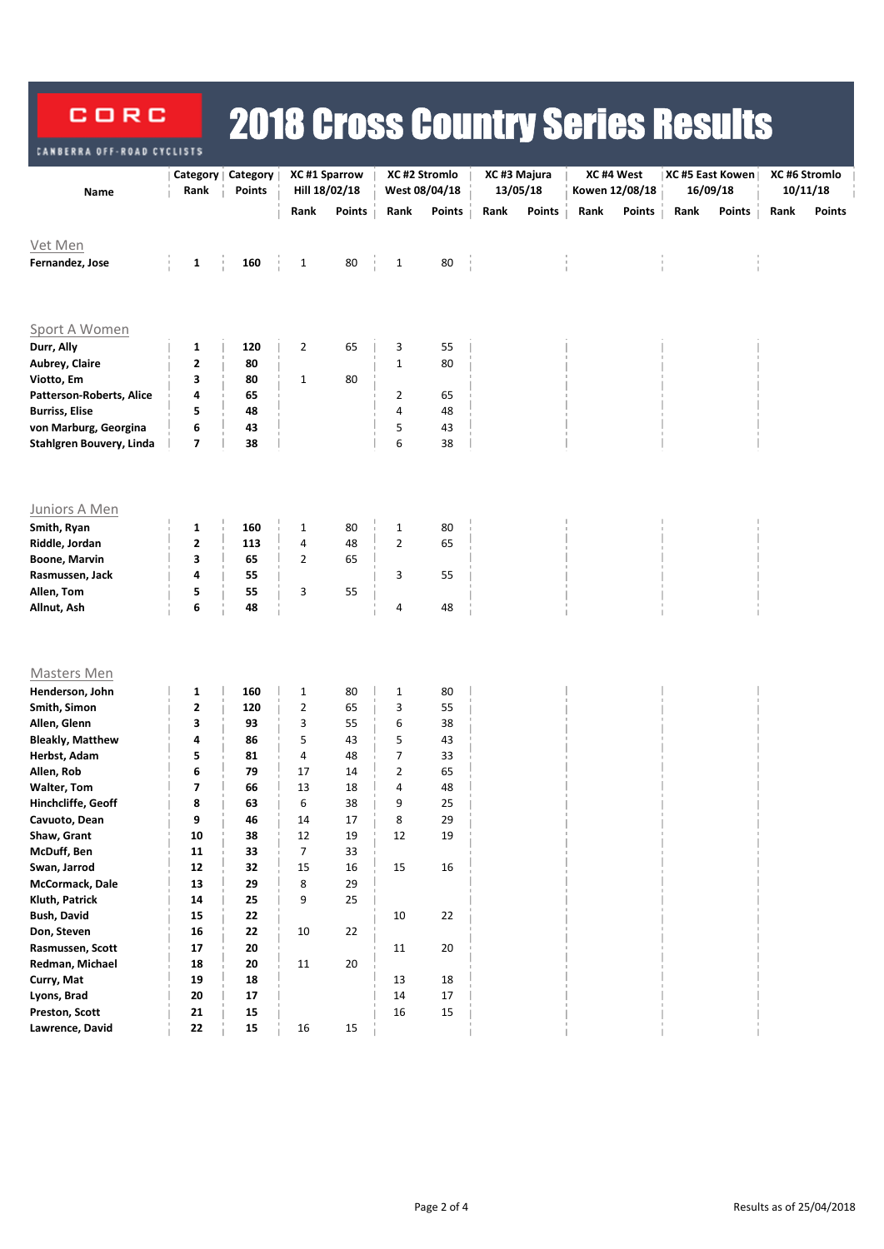## 2018 Cross Country Series Results CORC **NBERRA OFF-ROAD**

|                               | Category    | <b>Category</b>          | XC #1 Sparrow  |               | XC #2 Stromlo  |               |      | XC#3 Majura   |      | XC#4 West      | XC #5 East Kowen |               | XC #6 Stromlo |               |
|-------------------------------|-------------|--------------------------|----------------|---------------|----------------|---------------|------|---------------|------|----------------|------------------|---------------|---------------|---------------|
| Name                          | Rank        | <b>Points</b>            |                | Hill 18/02/18 |                | West 08/04/18 |      | 13/05/18      |      | Kowen 12/08/18 |                  | 16/09/18      |               | 10/11/18      |
|                               |             |                          | Rank           | <b>Points</b> | Rank           | Points        | Rank | <b>Points</b> | Rank | Points         | Rank             | <b>Points</b> | Rank          | <b>Points</b> |
| Vet Men                       |             |                          |                |               |                |               |      |               |      |                |                  |               |               |               |
| Fernandez, Jose               | $\mathbf 1$ | 160                      | $\mathbf{1}$   | 80            | $\mathbf{1}$   | 80            |      |               |      |                |                  |               |               |               |
|                               |             |                          |                |               |                |               |      |               |      |                |                  |               |               |               |
|                               |             |                          |                |               |                |               |      |               |      |                |                  |               |               |               |
|                               |             |                          |                |               |                |               |      |               |      |                |                  |               |               |               |
| Sport A Women                 |             |                          |                |               |                |               |      |               |      |                |                  |               |               |               |
| Durr, Ally                    | 1           | 120                      | $\overline{2}$ | 65            | 3              | 55            |      |               |      |                |                  |               |               |               |
| Aubrey, Claire                | 2           | 80                       |                |               | $\mathbf 1$    | 80            |      |               |      |                |                  |               |               |               |
| Viotto, Em                    | 3           | 80                       | $\mathbf{1}$   | 80            |                |               |      |               |      |                |                  |               |               |               |
| Patterson-Roberts, Alice      | 4           | 65                       |                |               | 2              | 65            |      |               |      |                |                  |               |               |               |
| <b>Burriss, Elise</b>         | 5           | 48                       |                |               | 4              | 48            |      |               |      |                |                  |               |               |               |
| von Marburg, Georgina         | 6           | 43                       |                |               | 5              | 43            |      |               |      |                |                  |               |               |               |
| Stahlgren Bouvery, Linda      | 7           | 38                       |                |               | 6              | 38            |      |               |      |                |                  |               |               |               |
|                               |             |                          |                |               |                |               |      |               |      |                |                  |               |               |               |
|                               |             |                          |                |               |                |               |      |               |      |                |                  |               |               |               |
| Juniors A Men                 |             |                          |                |               |                |               |      |               |      |                |                  |               |               |               |
| Smith, Ryan                   | 1           | 160                      | $\mathbf{1}$   | 80            | $\mathbf{1}$   | 80            |      |               |      |                |                  |               |               |               |
| Riddle, Jordan                | 2           | 113                      | 4              | 48            | $\overline{2}$ | 65            |      |               |      |                |                  |               |               |               |
| <b>Boone, Marvin</b>          | 3           | 65                       | 2              | 65            |                |               |      |               |      |                |                  |               |               |               |
| Rasmussen, Jack               | 4           | 55                       |                |               | 3              | 55            |      |               |      |                |                  |               |               |               |
| Allen, Tom                    | 5           | 55                       | 3              | 55            |                |               |      |               |      |                |                  |               |               |               |
| Allnut, Ash                   | 6           | 48                       |                |               | 4              | 48            |      |               |      |                |                  |               |               |               |
|                               |             |                          |                |               |                |               |      |               |      |                |                  |               |               |               |
|                               |             |                          |                |               |                |               |      |               |      |                |                  |               |               |               |
| <b>Masters Men</b>            |             |                          |                |               |                |               |      |               |      |                |                  |               |               |               |
| Henderson, John               | 1           | 160                      | $\mathbf{1}$   | 80            | 1              | 80            |      |               |      |                |                  |               |               |               |
| Smith, Simon                  | 2           | 120                      | 2              | 65            | 3              | 55            |      |               |      |                |                  |               |               |               |
| Allen, Glenn                  | 3           | 93                       | 3              | 55            | 6              | 38            |      |               |      |                |                  |               |               |               |
| <b>Bleakly, Matthew</b>       | 4           | 86                       | 5              | 43            | 5              | 43            |      |               |      |                |                  |               |               |               |
| Herbst, Adam                  | 5           | 81                       | 4              | 48            | $\overline{7}$ | 33            |      |               |      |                |                  |               |               |               |
| Allen, Rob                    | 6           | 79                       | 17             | 14            | $\overline{2}$ | 65            |      |               |      |                |                  |               |               |               |
| <b>Walter, Tom</b>            | 7           | 66                       | 13             | 18            | 4              | 48            |      |               |      |                |                  |               |               |               |
| Hinchcliffe, Geoff            | 8           | 63                       | 6              | 38            | 9              | 25            |      |               |      |                |                  |               |               |               |
| Cavuoto, Dean                 | q           | 46                       | 14             | 17            | 8              | 29            |      |               |      |                |                  |               |               |               |
| Shaw, Grant                   | ${\bf 10}$  | 38                       | 12             | 19            | 12             | 19            |      |               |      |                |                  |               |               |               |
| McDuff, Ben                   | ${\bf 11}$  | 33                       | $\overline{7}$ | 33            |                |               |      |               |      |                |                  |               |               |               |
| Swan, Jarrod                  | ${\bf 12}$  | 32                       | 15             | 16            | $15\,$         | $16\,$        |      |               |      |                |                  |               |               |               |
| McCormack, Dale               | 13          | 29                       | 8              | 29            |                |               |      |               |      |                |                  |               |               |               |
| Kluth, Patrick                | 14          | 25                       | 9              | 25            |                |               |      |               |      |                |                  |               |               |               |
| <b>Bush, David</b>            | 15          | 22                       |                |               | $10\,$         | 22            |      |               |      |                |                  |               |               |               |
| Don, Steven                   | 16          | 22                       | 10             | 22            |                |               |      |               |      |                |                  |               |               |               |
| Rasmussen, Scott              | ${\bf 17}$  | 20                       |                |               | 11             | $20\,$        |      |               |      |                |                  |               |               |               |
| Redman, Michael<br>Curry, Mat | 18<br>19    | ${\bf 20}$               | 11             | 20            |                |               |      |               |      |                |                  |               |               |               |
| Lyons, Brad                   | 20          | ${\bf 18}$<br>${\bf 17}$ |                |               | 13<br>14       | $18\,$<br>17  |      |               |      |                |                  |               |               |               |
| Preston, Scott                | 21          | ${\bf 15}$               |                |               | $16\,$         | $15\,$        |      |               |      |                |                  |               |               |               |
| Lawrence, David               | 22          | ${\bf 15}$               | $16\,$         | 15            |                |               |      |               |      |                |                  |               |               |               |
|                               |             |                          |                |               |                |               |      |               |      |                |                  |               |               |               |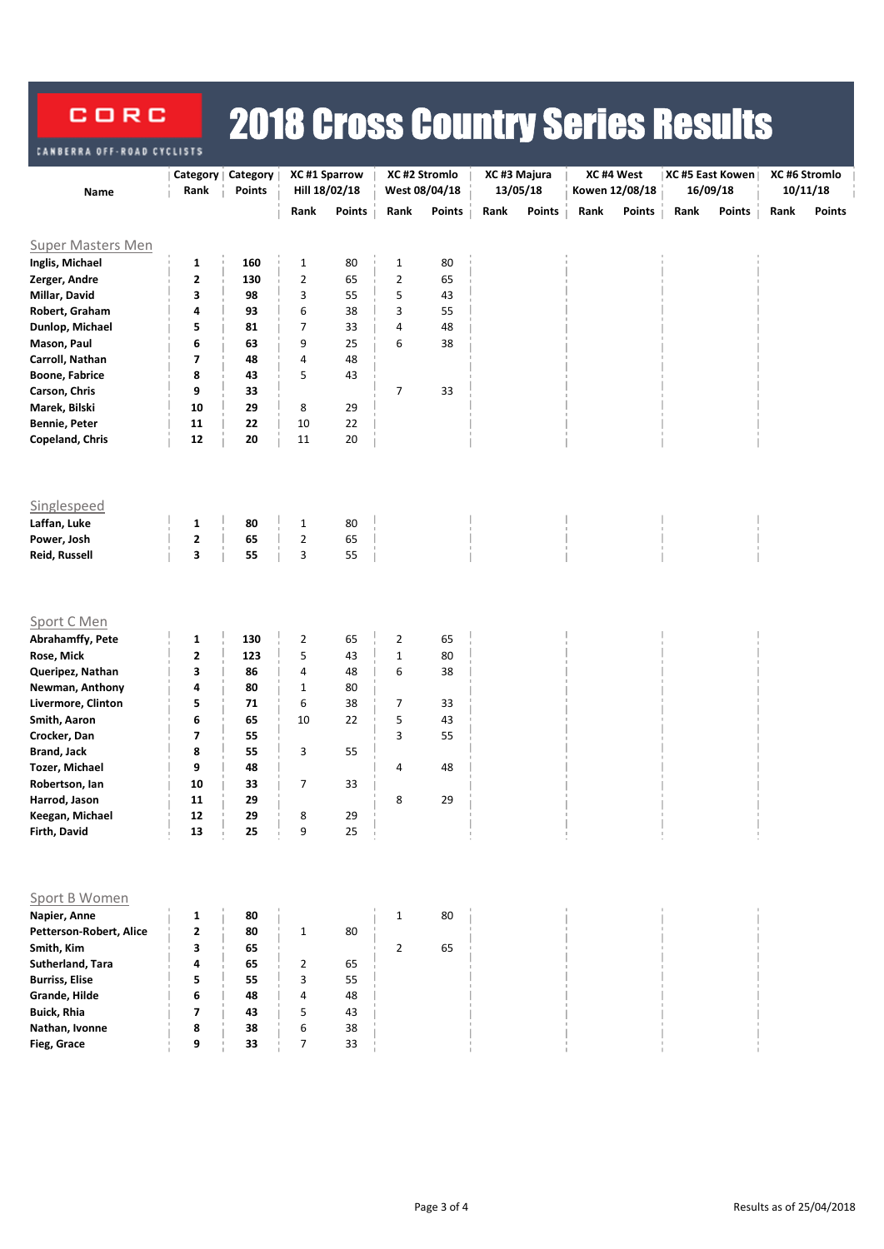## 2018 Cross Country Series Results CORC **BERRA OFF-ROAD CYCLISTS**

|                                         | Category    | Category | XC #1 Sparrow       |               | XC #2 Stromlo  |               | XC#3 Majura |          | XC#4 West |                | XC #5 East Kowen |          | XC #6 Stromlo |          |
|-----------------------------------------|-------------|----------|---------------------|---------------|----------------|---------------|-------------|----------|-----------|----------------|------------------|----------|---------------|----------|
| Name                                    | Rank        | Points   |                     | Hill 18/02/18 |                | West 08/04/18 |             | 13/05/18 |           | Kowen 12/08/18 |                  | 16/09/18 |               | 10/11/18 |
|                                         |             |          | Rank                | <b>Points</b> | Rank           | <b>Points</b> | Rank        | Points   | Rank      | <b>Points</b>  | Rank             | Points   | Rank          | Points   |
| <b>Super Masters Men</b>                |             |          |                     |               |                |               |             |          |           |                |                  |          |               |          |
| Inglis, Michael                         | 1           | 160      | $\mathbf{1}$        | 80            | $\mathbf{1}$   | 80            |             |          |           |                |                  |          |               |          |
| Zerger, Andre                           | $\mathbf 2$ | 130      | $\mathbf 2$         | 65            | $\mathbf 2$    | 65            |             |          |           |                |                  |          |               |          |
| Millar, David                           | 3           | 98       | 3                   | 55            | 5              | 43            |             |          |           |                |                  |          |               |          |
| Robert, Graham                          | 4           | 93       | 6                   | 38            | 3              | 55            |             |          |           |                |                  |          |               |          |
| Dunlop, Michael                         | 5           | 81       | 7                   | 33            | 4              | 48            |             |          |           |                |                  |          |               |          |
| Mason, Paul                             | 6           | 63       | 9                   | 25            | 6              | 38            |             |          |           |                |                  |          |               |          |
| Carroll, Nathan                         | 7           | 48       | 4                   | 48            |                |               |             |          |           |                |                  |          |               |          |
| <b>Boone, Fabrice</b>                   | 8           | 43       | 5                   | 43            |                |               |             |          |           |                |                  |          |               |          |
| Carson, Chris                           | 9           | 33       |                     |               | $\overline{7}$ | 33            |             |          |           |                |                  |          |               |          |
| Marek, Bilski                           | 10          | 29       | 8                   | 29            |                |               |             |          |           |                |                  |          |               |          |
| <b>Bennie, Peter</b>                    | 11          | 22       | 10                  | 22            |                |               |             |          |           |                |                  |          |               |          |
| Copeland, Chris                         | 12          | 20       | 11                  | 20            |                |               |             |          |           |                |                  |          |               |          |
|                                         |             |          |                     |               |                |               |             |          |           |                |                  |          |               |          |
| Singlespeed                             |             |          |                     |               |                |               |             |          |           |                |                  |          |               |          |
| Laffan, Luke                            | 1           | 80       | $\mathbf{1}$        | 80            |                |               |             |          |           |                |                  |          |               |          |
| Power, Josh                             | $\mathbf 2$ | 65       | $\overline{2}$      | 65            |                |               |             |          |           |                |                  |          |               |          |
| Reid, Russell                           | 3           | 55       | 3                   | 55            |                |               |             |          |           |                |                  |          |               |          |
| Sport C Men                             |             |          |                     |               |                |               |             |          |           |                |                  |          |               |          |
| Abrahamffy, Pete                        | 1           | 130      | $\overline{2}$      | 65            | 2              | 65            |             |          |           |                |                  |          |               |          |
| Rose, Mick                              | $\mathbf 2$ | 123      | 5                   | 43            | $\mathbf 1$    | 80            |             |          |           |                |                  |          |               |          |
| Queripez, Nathan                        | 3           | 86       | 4                   | 48            | 6              | 38            |             |          |           |                |                  |          |               |          |
| Newman, Anthony                         | 4           | 80       | $\mathbf{1}$        | 80            |                |               |             |          |           |                |                  |          |               |          |
| Livermore, Clinton                      | 5           | 71       | 6                   | 38            | 7              | 33            |             |          |           |                |                  |          |               |          |
| Smith, Aaron                            | 6           | 65       | 10                  | 22            | 5              | 43            |             |          |           |                |                  |          |               |          |
| Crocker, Dan                            | 7<br>8      | 55<br>55 |                     | 55            | 3              | 55            |             |          |           |                |                  |          |               |          |
| <b>Brand, Jack</b>                      | 9           |          | 3                   |               |                |               |             |          |           |                |                  |          |               |          |
| <b>Tozer, Michael</b><br>Robertson, Ian | 10          | 48<br>33 | $\overline{7}$      | 33            | 4              | 48            |             |          |           |                |                  |          |               |          |
| Harrod, Jason                           | 11          | 29       |                     |               | 8              | 29            |             |          |           |                |                  |          |               |          |
| Keegan, Michael                         | 12          | 29       | 8                   | 29            |                |               |             |          |           |                |                  |          |               |          |
| Firth, David                            | 13          | 25       | 9                   | 25            |                |               |             |          |           |                |                  |          |               |          |
|                                         |             |          |                     |               |                |               |             |          |           |                |                  |          |               |          |
| Sport B Women                           |             |          |                     |               |                |               |             |          |           |                |                  |          |               |          |
| Napier, Anne                            | 1           | 80       |                     |               | $1\,$          | 80            |             |          |           |                |                  |          |               |          |
| Petterson-Robert, Alice                 | 2           | 80       | $\mathbf{1}$        | 80            |                |               |             |          |           |                |                  |          |               |          |
| Smith, Kim                              | 3           | 65       |                     |               | $\overline{2}$ | 65            |             |          |           |                |                  |          |               |          |
| Sutherland, Tara                        | 4           | 65       | $\overline{2}$      | 65            |                |               |             |          |           |                |                  |          |               |          |
| <b>Burriss, Elise</b>                   | 5           | 55       | 3                   | 55            |                |               |             |          |           |                |                  |          |               |          |
| Grande, Hilde                           | 6           | 48       | 4                   | 48            |                |               |             |          |           |                |                  |          |               |          |
| <b>Buick, Rhia</b>                      | 7           | 43       | 5                   | 43            |                |               |             |          |           |                |                  |          |               |          |
| Nathan, Ivonne                          | 8<br>9      | 38<br>33 | 6<br>$\overline{7}$ | 38<br>33      |                |               |             |          |           |                |                  |          |               |          |
| Fieg, Grace                             |             |          |                     |               |                |               |             |          |           |                |                  |          |               |          |